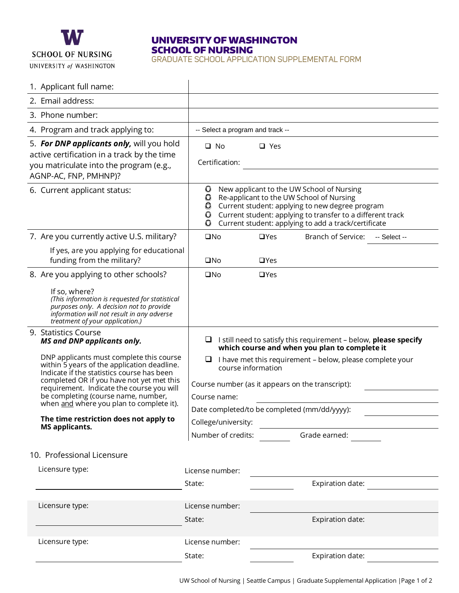

# UNIVERSITY OF WASHINGTON SCHOOL OF NURSING

GRADUATE SCHOOL APPLICATION SUPPLEMENTAL FORM

| 1. Applicant full name:                                                                                                                                                                                                                                                                                            |                                                                                                                                                                                                                                                                                                     |
|--------------------------------------------------------------------------------------------------------------------------------------------------------------------------------------------------------------------------------------------------------------------------------------------------------------------|-----------------------------------------------------------------------------------------------------------------------------------------------------------------------------------------------------------------------------------------------------------------------------------------------------|
| 2. Email address:                                                                                                                                                                                                                                                                                                  |                                                                                                                                                                                                                                                                                                     |
| 3. Phone number:                                                                                                                                                                                                                                                                                                   |                                                                                                                                                                                                                                                                                                     |
| 4. Program and track applying to:                                                                                                                                                                                                                                                                                  | -- Select a program and track --                                                                                                                                                                                                                                                                    |
| 5. For DNP applicants only, will you hold<br>active certification in a track by the time<br>you matriculate into the program (e.g.,<br>AGNP-AC, FNP, PMHNP)?                                                                                                                                                       | $\Box$ No<br>$\Box$ Yes<br>Certification:                                                                                                                                                                                                                                                           |
| 6. Current applicant status:                                                                                                                                                                                                                                                                                       | New applicant to the UW School of Nursing<br>$\circ$<br>Re-applicant to the UW School of Nursing<br>$\circ$<br>O Current student: applying to new degree program<br>O Current student: applying to transfer to a different track<br>Current student: applying to add a track/certificate<br>$\circ$ |
| 7. Are you currently active U.S. military?                                                                                                                                                                                                                                                                         | Branch of Service:<br>$\square$ No<br>$\Box$ Yes<br>-- Select --                                                                                                                                                                                                                                    |
| If yes, are you applying for educational<br>funding from the military?                                                                                                                                                                                                                                             | $\square$ No<br>$\Box$ Yes                                                                                                                                                                                                                                                                          |
| 8. Are you applying to other schools?                                                                                                                                                                                                                                                                              | $\square$ No<br>$\Box$ Yes                                                                                                                                                                                                                                                                          |
| If so, where?<br>(This information is requested for statistical<br>purposes only. A decision not to provide<br>information will not result in any adverse<br>treatment of your application.)                                                                                                                       |                                                                                                                                                                                                                                                                                                     |
| 9. Statistics Course<br><b>MS and DNP applicants only.</b>                                                                                                                                                                                                                                                         | I still need to satisfy this requirement - below, please specify<br>⊔<br>which course and when you plan to complete it                                                                                                                                                                              |
| DNP applicants must complete this course<br>within 5 years of the application deadline.<br>Indicate if the statistics course has been<br>completed OR if you have not yet met this<br>requirement. Indicate the course you will<br>be completing (course name, number,<br>when and where you plan to complete it). | I have met this requirement - below, please complete your<br>⊔<br>course information                                                                                                                                                                                                                |
|                                                                                                                                                                                                                                                                                                                    | Course number (as it appears on the transcript):                                                                                                                                                                                                                                                    |
|                                                                                                                                                                                                                                                                                                                    | Course name:                                                                                                                                                                                                                                                                                        |
|                                                                                                                                                                                                                                                                                                                    | Date completed/to be completed (mm/dd/yyyy):                                                                                                                                                                                                                                                        |
| The time restriction does not apply to<br><b>MS applicants.</b>                                                                                                                                                                                                                                                    | College/university:                                                                                                                                                                                                                                                                                 |
|                                                                                                                                                                                                                                                                                                                    | Grade earned:<br>Number of credits:                                                                                                                                                                                                                                                                 |
| 10. Professional Licensure                                                                                                                                                                                                                                                                                         |                                                                                                                                                                                                                                                                                                     |
|                                                                                                                                                                                                                                                                                                                    |                                                                                                                                                                                                                                                                                                     |
| Licensure type:                                                                                                                                                                                                                                                                                                    | License number:                                                                                                                                                                                                                                                                                     |
|                                                                                                                                                                                                                                                                                                                    | Expiration date:<br>State:                                                                                                                                                                                                                                                                          |
|                                                                                                                                                                                                                                                                                                                    |                                                                                                                                                                                                                                                                                                     |
| Licensure type:                                                                                                                                                                                                                                                                                                    | License number:                                                                                                                                                                                                                                                                                     |
|                                                                                                                                                                                                                                                                                                                    | Expiration date:<br>State:                                                                                                                                                                                                                                                                          |
| Licensure type:                                                                                                                                                                                                                                                                                                    | License number:                                                                                                                                                                                                                                                                                     |